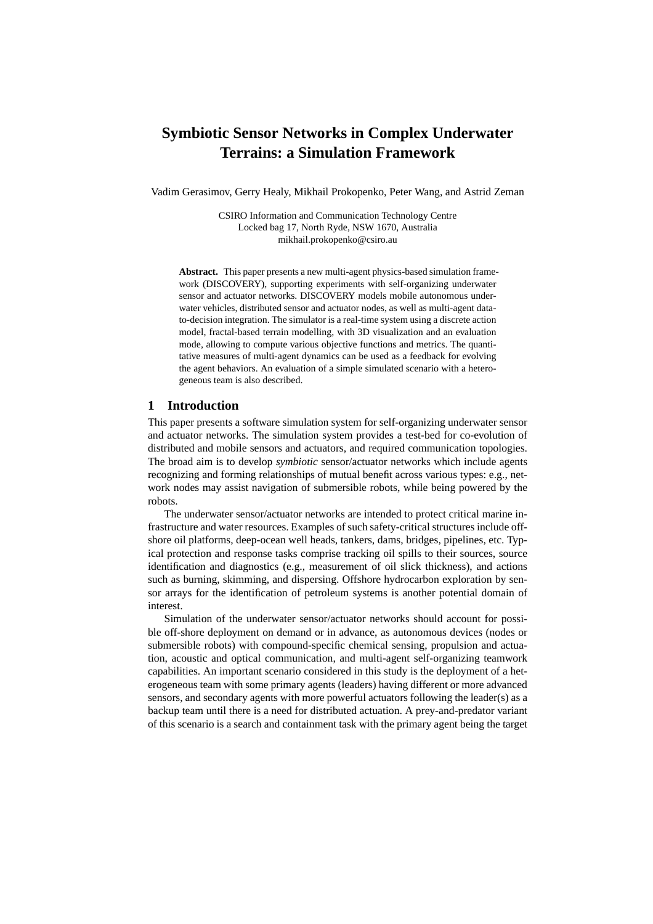# **Symbiotic Sensor Networks in Complex Underwater Terrains: a Simulation Framework**

Vadim Gerasimov, Gerry Healy, Mikhail Prokopenko, Peter Wang, and Astrid Zeman

CSIRO Information and Communication Technology Centre Locked bag 17, North Ryde, NSW 1670, Australia mikhail.prokopenko@csiro.au

**Abstract.** This paper presents a new multi-agent physics-based simulation framework (DISCOVERY), supporting experiments with self-organizing underwater sensor and actuator networks. DISCOVERY models mobile autonomous underwater vehicles, distributed sensor and actuator nodes, as well as multi-agent datato-decision integration. The simulator is a real-time system using a discrete action model, fractal-based terrain modelling, with 3D visualization and an evaluation mode, allowing to compute various objective functions and metrics. The quantitative measures of multi-agent dynamics can be used as a feedback for evolving the agent behaviors. An evaluation of a simple simulated scenario with a heterogeneous team is also described.

# **1 Introduction**

This paper presents a software simulation system for self-organizing underwater sensor and actuator networks. The simulation system provides a test-bed for co-evolution of distributed and mobile sensors and actuators, and required communication topologies. The broad aim is to develop *symbiotic* sensor/actuator networks which include agents recognizing and forming relationships of mutual benefit across various types: e.g., network nodes may assist navigation of submersible robots, while being powered by the robots.

The underwater sensor/actuator networks are intended to protect critical marine infrastructure and water resources. Examples of such safety-critical structures include offshore oil platforms, deep-ocean well heads, tankers, dams, bridges, pipelines, etc. Typical protection and response tasks comprise tracking oil spills to their sources, source identification and diagnostics (e.g., measurement of oil slick thickness), and actions such as burning, skimming, and dispersing. Offshore hydrocarbon exploration by sensor arrays for the identification of petroleum systems is another potential domain of interest.

Simulation of the underwater sensor/actuator networks should account for possible off-shore deployment on demand or in advance, as autonomous devices (nodes or submersible robots) with compound-specific chemical sensing, propulsion and actuation, acoustic and optical communication, and multi-agent self-organizing teamwork capabilities. An important scenario considered in this study is the deployment of a heterogeneous team with some primary agents (leaders) having different or more advanced sensors, and secondary agents with more powerful actuators following the leader(s) as a backup team until there is a need for distributed actuation. A prey-and-predator variant of this scenario is a search and containment task with the primary agent being the target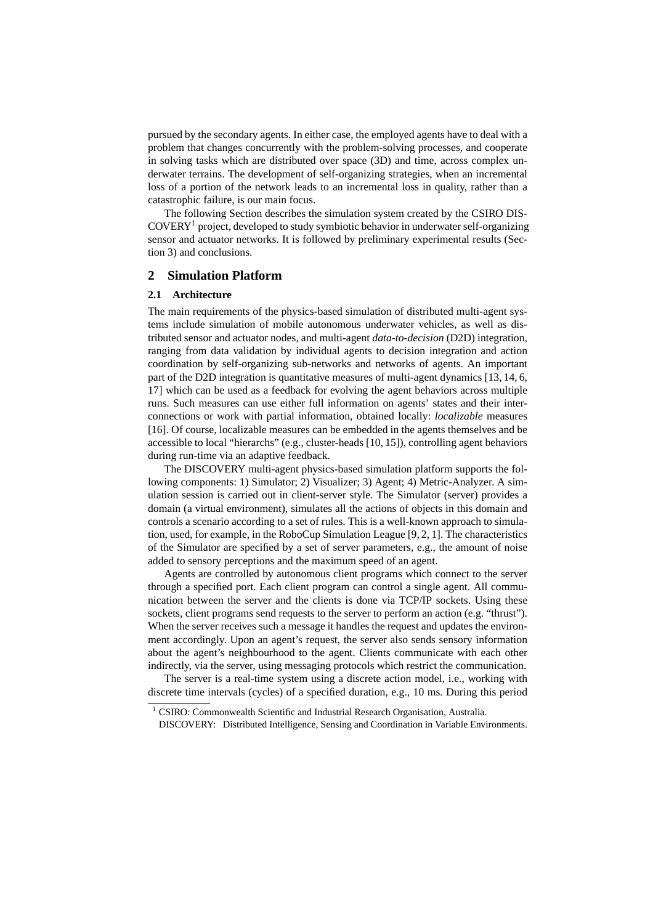pursued by the secondary agents. In either case, the employed agents have to deal with a problem that changes concurrently with the problem-solving processes, and cooperate in solving tasks which are distributed over space (3D) and time, across complex underwater terrains. The development of self-organizing strategies, when an incremental loss of a portion of the network leads to an incremental loss in quality, rather than a catastrophic failure, is our main focus.

The following Section describes the simulation system created by the CSIRO DIS-COVERY<sup>1</sup> project, developed to study symbiotic behavior in underwater self-organizing sensor and actuator networks. It is followed by preliminary experimental results (Section 3) and conclusions.

## **2 Simulation Platform**

# **2.1 Architecture**

The main requirements of the physics-based simulation of distributed multi-agent systems include simulation of mobile autonomous underwater vehicles, as well as distributed sensor and actuator nodes, and multi-agent *data-to-decision* (D2D) integration, ranging from data validation by individual agents to decision integration and action coordination by self-organizing sub-networks and networks of agents. An important part of the D2D integration is quantitative measures of multi-agent dynamics [13, 14, 6, 17] which can be used as a feedback for evolving the agent behaviors across multiple runs. Such measures can use either full information on agents' states and their interconnections or work with partial information, obtained locally: *localizable* measures [16]. Of course, localizable measures can be embedded in the agents themselves and be accessible to local "hierarchs" (e.g., cluster-heads [10, 15]), controlling agent behaviors during run-time via an adaptive feedback.

The DISCOVERY multi-agent physics-based simulation platform supports the following components: 1) Simulator; 2) Visualizer; 3) Agent; 4) Metric-Analyzer. A simulation session is carried out in client-server style. The Simulator (server) provides a domain (a virtual environment), simulates all the actions of objects in this domain and controls a scenario according to a set of rules. This is a well-known approach to simulation, used, for example, in the RoboCup Simulation League [9, 2, 1]. The characteristics of the Simulator are specified by a set of server parameters, e.g., the amount of noise added to sensory perceptions and the maximum speed of an agent.

Agents are controlled by autonomous client programs which connect to the server through a specified port. Each client program can control a single agent. All communication between the server and the clients is done via TCP/IP sockets. Using these sockets, client programs send requests to the server to perform an action (e.g. "thrust"). When the server receives such a message it handles the request and updates the environment accordingly. Upon an agent's request, the server also sends sensory information about the agent's neighbourhood to the agent. Clients communicate with each other indirectly, via the server, using messaging protocols which restrict the communication.

The server is a real-time system using a discrete action model, i.e., working with discrete time intervals (cycles) of a specified duration, e.g., 10 ms. During this period

 $1$  CSIRO: Commonwealth Scientific and Industrial Research Organisation, Australia.

DISCOVERY: Distributed Intelligence, Sensing and Coordination in Variable Environments.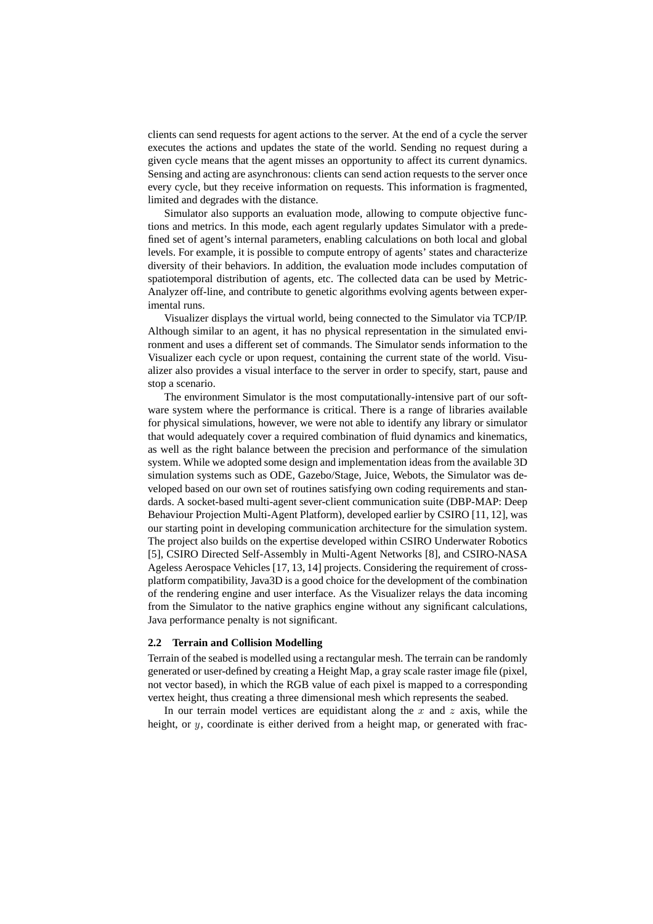clients can send requests for agent actions to the server. At the end of a cycle the server executes the actions and updates the state of the world. Sending no request during a given cycle means that the agent misses an opportunity to affect its current dynamics. Sensing and acting are asynchronous: clients can send action requests to the server once every cycle, but they receive information on requests. This information is fragmented, limited and degrades with the distance.

Simulator also supports an evaluation mode, allowing to compute objective functions and metrics. In this mode, each agent regularly updates Simulator with a predefined set of agent's internal parameters, enabling calculations on both local and global levels. For example, it is possible to compute entropy of agents' states and characterize diversity of their behaviors. In addition, the evaluation mode includes computation of spatiotemporal distribution of agents, etc. The collected data can be used by Metric-Analyzer off-line, and contribute to genetic algorithms evolving agents between experimental runs.

Visualizer displays the virtual world, being connected to the Simulator via TCP/IP. Although similar to an agent, it has no physical representation in the simulated environment and uses a different set of commands. The Simulator sends information to the Visualizer each cycle or upon request, containing the current state of the world. Visualizer also provides a visual interface to the server in order to specify, start, pause and stop a scenario.

The environment Simulator is the most computationally-intensive part of our software system where the performance is critical. There is a range of libraries available for physical simulations, however, we were not able to identify any library or simulator that would adequately cover a required combination of fluid dynamics and kinematics, as well as the right balance between the precision and performance of the simulation system. While we adopted some design and implementation ideas from the available 3D simulation systems such as ODE, Gazebo/Stage, Juice, Webots, the Simulator was developed based on our own set of routines satisfying own coding requirements and standards. A socket-based multi-agent sever-client communication suite (DBP-MAP: Deep Behaviour Projection Multi-Agent Platform), developed earlier by CSIRO [11, 12], was our starting point in developing communication architecture for the simulation system. The project also builds on the expertise developed within CSIRO Underwater Robotics [5], CSIRO Directed Self-Assembly in Multi-Agent Networks [8], and CSIRO-NASA Ageless Aerospace Vehicles [17, 13, 14] projects. Considering the requirement of crossplatform compatibility, Java3D is a good choice for the development of the combination of the rendering engine and user interface. As the Visualizer relays the data incoming from the Simulator to the native graphics engine without any significant calculations, Java performance penalty is not significant.

### **2.2 Terrain and Collision Modelling**

Terrain of the seabed is modelled using a rectangular mesh. The terrain can be randomly generated or user-defined by creating a Height Map, a gray scale raster image file (pixel, not vector based), in which the RGB value of each pixel is mapped to a corresponding vertex height, thus creating a three dimensional mesh which represents the seabed.

In our terrain model vertices are equidistant along the  $x$  and  $z$  axis, while the height, or  $y$ , coordinate is either derived from a height map, or generated with frac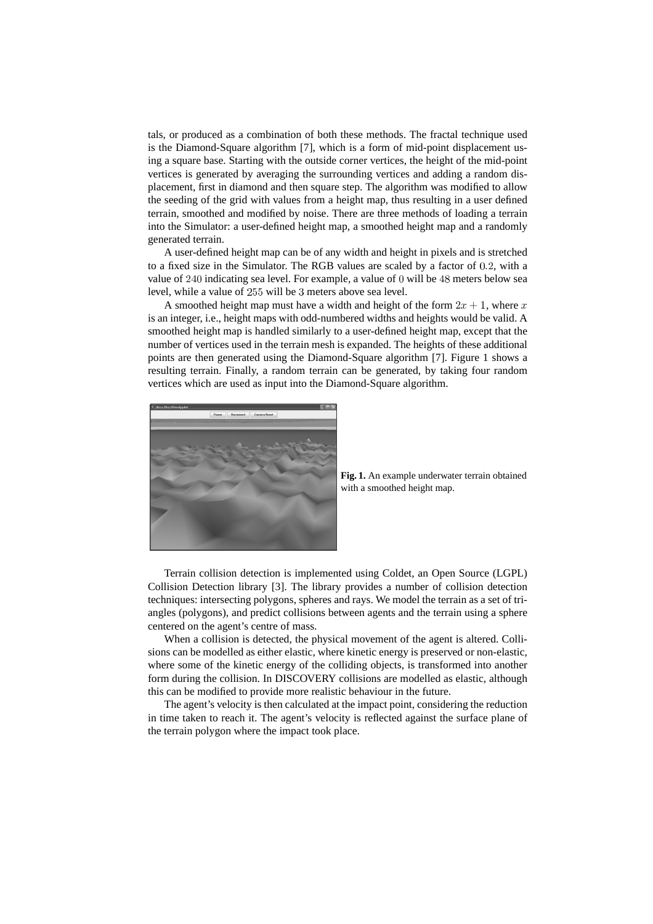tals, or produced as a combination of both these methods. The fractal technique used is the Diamond-Square algorithm [7], which is a form of mid-point displacement using a square base. Starting with the outside corner vertices, the height of the mid-point vertices is generated by averaging the surrounding vertices and adding a random displacement, first in diamond and then square step. The algorithm was modified to allow the seeding of the grid with values from a height map, thus resulting in a user defined terrain, smoothed and modified by noise. There are three methods of loading a terrain into the Simulator: a user-defined height map, a smoothed height map and a randomly generated terrain.

A user-defined height map can be of any width and height in pixels and is stretched to a fixed size in the Simulator. The RGB values are scaled by a factor of  $0.2$ , with a value of  $240$  indicating sea level. For example, a value of  $0$  will be  $48$  meters below sea level, while a value of 255 will be 3 meters above sea level.

A smoothed height map must have a width and height of the form  $2x + 1$ , where x is an integer, i.e., height maps with odd-numbered widths and heights would be valid. A smoothed height map is handled similarly to a user-defined height map, except that the number of vertices used in the terrain mesh is expanded. The heights of these additional points are then generated using the Diamond-Square algorithm [7]. Figure 1 shows a resulting terrain. Finally, a random terrain can be generated, by taking four random vertices which are used as input into the Diamond-Square algorithm.



**Fig. 1.** An example underwater terrain obtained with a smoothed height map.

Terrain collision detection is implemented using Coldet, an Open Source (LGPL) Collision Detection library [3]. The library provides a number of collision detection techniques: intersecting polygons, spheres and rays. We model the terrain as a set of triangles (polygons), and predict collisions between agents and the terrain using a sphere centered on the agent's centre of mass.

When a collision is detected, the physical movement of the agent is altered. Collisions can be modelled as either elastic, where kinetic energy is preserved or non-elastic, where some of the kinetic energy of the colliding objects, is transformed into another form during the collision. In DISCOVERY collisions are modelled as elastic, although this can be modified to provide more realistic behaviour in the future.

The agent's velocity is then calculated at the impact point, considering the reduction in time taken to reach it. The agent's velocity is reflected against the surface plane of the terrain polygon where the impact took place.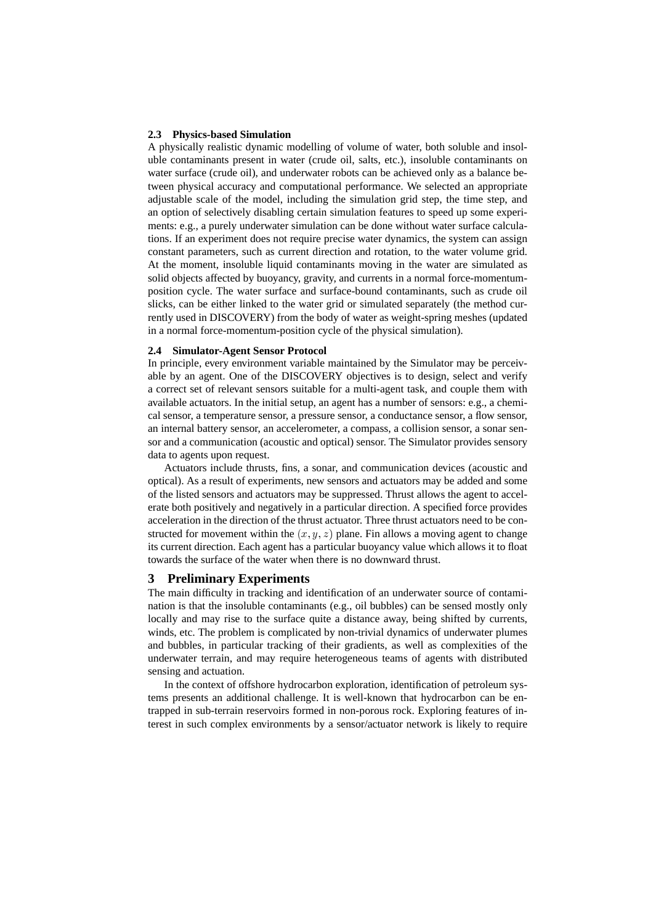#### **2.3 Physics-based Simulation**

A physically realistic dynamic modelling of volume of water, both soluble and insoluble contaminants present in water (crude oil, salts, etc.), insoluble contaminants on water surface (crude oil), and underwater robots can be achieved only as a balance between physical accuracy and computational performance. We selected an appropriate adjustable scale of the model, including the simulation grid step, the time step, and an option of selectively disabling certain simulation features to speed up some experiments: e.g., a purely underwater simulation can be done without water surface calculations. If an experiment does not require precise water dynamics, the system can assign constant parameters, such as current direction and rotation, to the water volume grid. At the moment, insoluble liquid contaminants moving in the water are simulated as solid objects affected by buoyancy, gravity, and currents in a normal force-momentumposition cycle. The water surface and surface-bound contaminants, such as crude oil slicks, can be either linked to the water grid or simulated separately (the method currently used in DISCOVERY) from the body of water as weight-spring meshes (updated in a normal force-momentum-position cycle of the physical simulation).

#### **2.4 Simulator-Agent Sensor Protocol**

In principle, every environment variable maintained by the Simulator may be perceivable by an agent. One of the DISCOVERY objectives is to design, select and verify a correct set of relevant sensors suitable for a multi-agent task, and couple them with available actuators. In the initial setup, an agent has a number of sensors: e.g., a chemical sensor, a temperature sensor, a pressure sensor, a conductance sensor, a flow sensor, an internal battery sensor, an accelerometer, a compass, a collision sensor, a sonar sensor and a communication (acoustic and optical) sensor. The Simulator provides sensory data to agents upon request.

Actuators include thrusts, fins, a sonar, and communication devices (acoustic and optical). As a result of experiments, new sensors and actuators may be added and some of the listed sensors and actuators may be suppressed. Thrust allows the agent to accelerate both positively and negatively in a particular direction. A specified force provides acceleration in the direction of the thrust actuator. Three thrust actuators need to be constructed for movement within the  $(x, y, z)$  plane. Fin allows a moving agent to change its current direction. Each agent has a particular buoyancy value which allows it to float towards the surface of the water when there is no downward thrust.

#### **3 Preliminary Experiments**

The main difficulty in tracking and identification of an underwater source of contamination is that the insoluble contaminants (e.g., oil bubbles) can be sensed mostly only locally and may rise to the surface quite a distance away, being shifted by currents, winds, etc. The problem is complicated by non-trivial dynamics of underwater plumes and bubbles, in particular tracking of their gradients, as well as complexities of the underwater terrain, and may require heterogeneous teams of agents with distributed sensing and actuation.

In the context of offshore hydrocarbon exploration, identification of petroleum systems presents an additional challenge. It is well-known that hydrocarbon can be entrapped in sub-terrain reservoirs formed in non-porous rock. Exploring features of interest in such complex environments by a sensor/actuator network is likely to require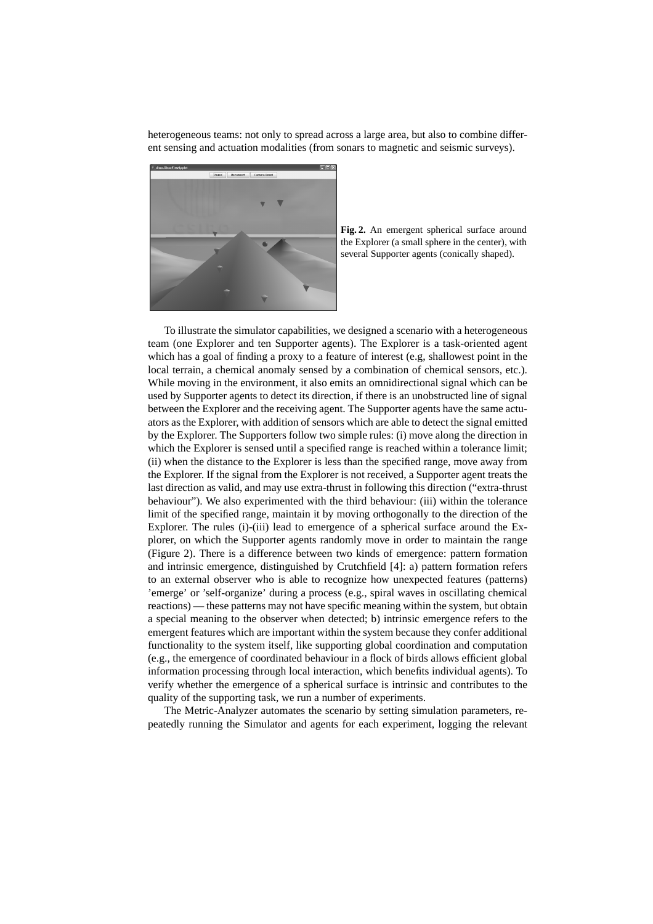heterogeneous teams: not only to spread across a large area, but also to combine different sensing and actuation modalities (from sonars to magnetic and seismic surveys).



**Fig. 2.** An emergent spherical surface around the Explorer (a small sphere in the center), with several Supporter agents (conically shaped).

To illustrate the simulator capabilities, we designed a scenario with a heterogeneous team (one Explorer and ten Supporter agents). The Explorer is a task-oriented agent which has a goal of finding a proxy to a feature of interest (e.g, shallowest point in the local terrain, a chemical anomaly sensed by a combination of chemical sensors, etc.). While moving in the environment, it also emits an omnidirectional signal which can be used by Supporter agents to detect its direction, if there is an unobstructed line of signal between the Explorer and the receiving agent. The Supporter agents have the same actuators as the Explorer, with addition of sensors which are able to detect the signal emitted by the Explorer. The Supporters follow two simple rules: (i) move along the direction in which the Explorer is sensed until a specified range is reached within a tolerance limit; (ii) when the distance to the Explorer is less than the specified range, move away from the Explorer. If the signal from the Explorer is not received, a Supporter agent treats the last direction as valid, and may use extra-thrust in following this direction ("extra-thrust behaviour"). We also experimented with the third behaviour: (iii) within the tolerance limit of the specified range, maintain it by moving orthogonally to the direction of the Explorer. The rules (i)-(iii) lead to emergence of a spherical surface around the Explorer, on which the Supporter agents randomly move in order to maintain the range (Figure 2). There is a difference between two kinds of emergence: pattern formation and intrinsic emergence, distinguished by Crutchfield [4]: a) pattern formation refers to an external observer who is able to recognize how unexpected features (patterns) 'emerge' or 'self-organize' during a process (e.g., spiral waves in oscillating chemical reactions) — these patterns may not have specific meaning within the system, but obtain a special meaning to the observer when detected; b) intrinsic emergence refers to the emergent features which are important within the system because they confer additional functionality to the system itself, like supporting global coordination and computation (e.g., the emergence of coordinated behaviour in a flock of birds allows efficient global information processing through local interaction, which benefits individual agents). To verify whether the emergence of a spherical surface is intrinsic and contributes to the quality of the supporting task, we run a number of experiments.

The Metric-Analyzer automates the scenario by setting simulation parameters, repeatedly running the Simulator and agents for each experiment, logging the relevant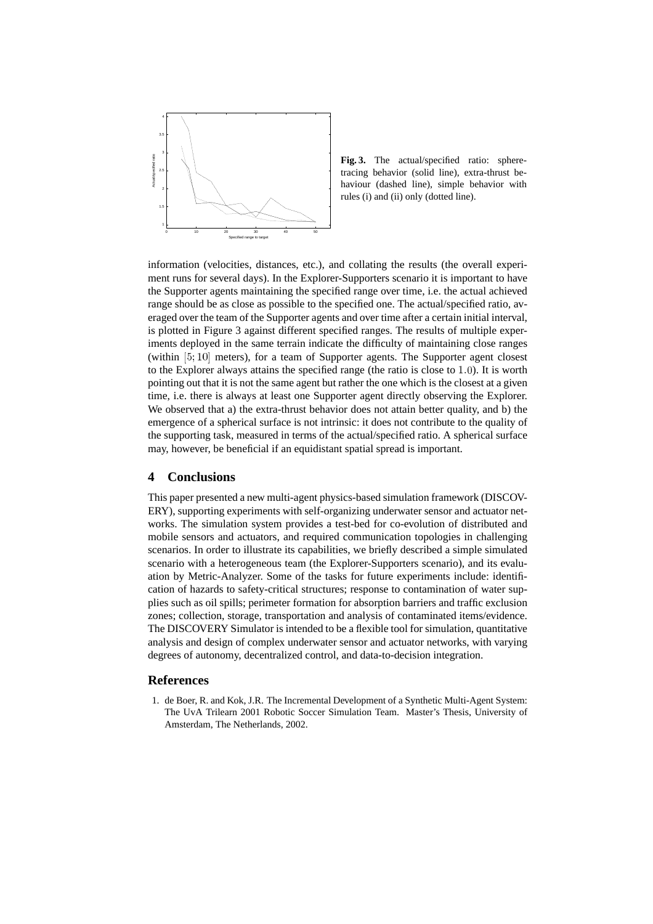

**Fig. 3.** The actual/specified ratio: spheretracing behavior (solid line), extra-thrust behaviour (dashed line), simple behavior with rules (i) and (ii) only (dotted line).

information (velocities, distances, etc.), and collating the results (the overall experiment runs for several days). In the Explorer-Supporters scenario it is important to have the Supporter agents maintaining the specified range over time, i.e. the actual achieved range should be as close as possible to the specified one. The actual/specified ratio, averaged over the team of the Supporter agents and over time after a certain initial interval, is plotted in Figure 3 against different specified ranges. The results of multiple experiments deployed in the same terrain indicate the difficulty of maintaining close ranges (within  $[5, 10]$  meters), for a team of Supporter agents. The Supporter agent closest to the Explorer always attains the specified range (the ratio is close to  $1.0$ ). It is worth pointing out that it is not the same agent but rather the one which is the closest at a given time, i.e. there is always at least one Supporter agent directly observing the Explorer. We observed that a) the extra-thrust behavior does not attain better quality, and b) the emergence of a spherical surface is not intrinsic: it does not contribute to the quality of the supporting task, measured in terms of the actual/specified ratio. A spherical surface may, however, be beneficial if an equidistant spatial spread is important.

# **4 Conclusions**

This paper presented a new multi-agent physics-based simulation framework (DISCOV-ERY), supporting experiments with self-organizing underwater sensor and actuator networks. The simulation system provides a test-bed for co-evolution of distributed and mobile sensors and actuators, and required communication topologies in challenging scenarios. In order to illustrate its capabilities, we briefly described a simple simulated scenario with a heterogeneous team (the Explorer-Supporters scenario), and its evaluation by Metric-Analyzer. Some of the tasks for future experiments include: identification of hazards to safety-critical structures; response to contamination of water supplies such as oil spills; perimeter formation for absorption barriers and traffic exclusion zones; collection, storage, transportation and analysis of contaminated items/evidence. The DISCOVERY Simulator is intended to be a flexible tool for simulation, quantitative analysis and design of complex underwater sensor and actuator networks, with varying degrees of autonomy, decentralized control, and data-to-decision integration.

# **References**

1. de Boer, R. and Kok, J.R. The Incremental Development of a Synthetic Multi-Agent System: The UvA Trilearn 2001 Robotic Soccer Simulation Team. Master's Thesis, University of Amsterdam, The Netherlands, 2002.